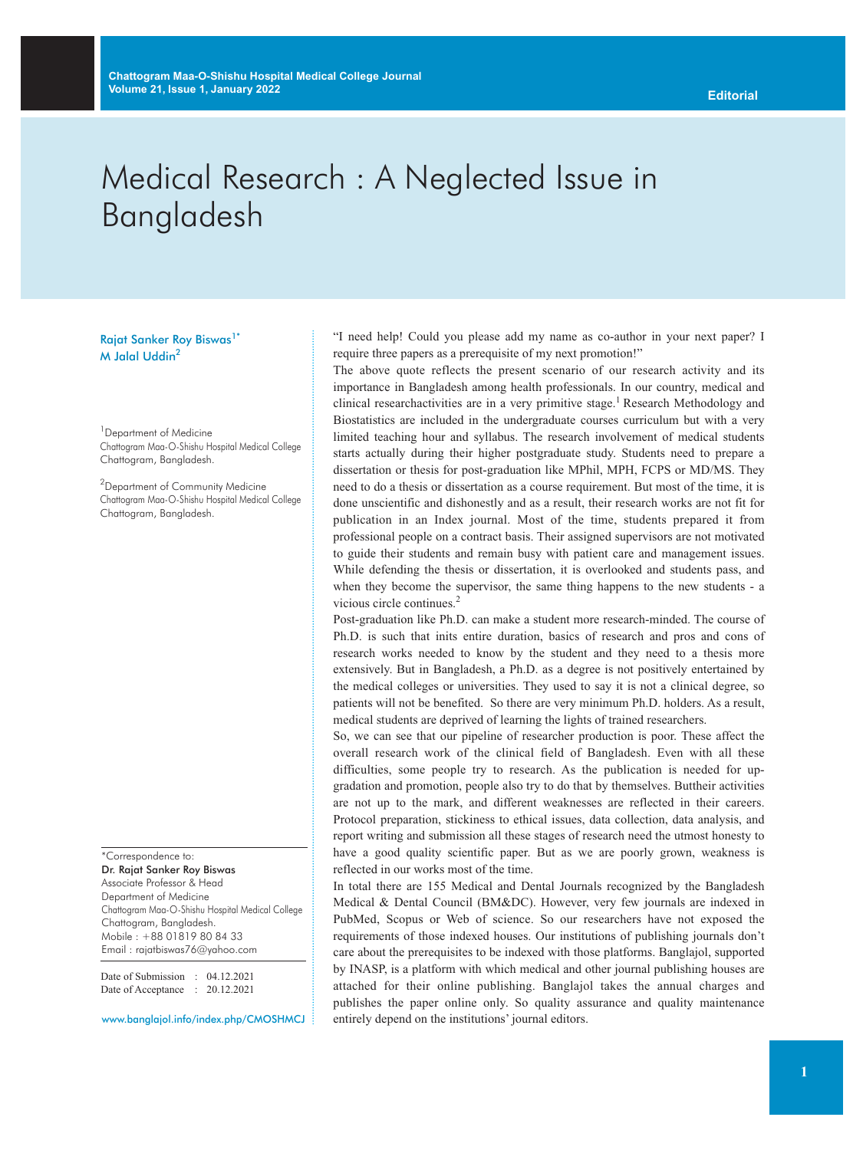## Medical Research : A Neglected Issue in Bangladesh

Rajat Sanker Roy Biswas<sup>1\*</sup> M Jalal Uddin<sup>2</sup>

<sup>1</sup> Department of Medicine Chattogram Maa-O-Shishu Hospital Medical College Chattogram, Bangladesh.

<sup>2</sup>Department of Community Medicine Chattogram Maa-O-Shishu Hospital Medical College Chattogram, Bangladesh.

\*Correspondence to: Dr. Rajat Sanker Roy Biswas Associate Professor & Head Department of Medicine Chattogram Maa-O-Shishu Hospital Medical College Chattogram, Bangladesh. Mobile : +88 01819 80 84 33 Email : rajatbiswas76@yahoo.com

Date of Submission : 04.12.2021 Date of Acceptance : 20.12.2021

www.banglajol.info/index.php/CMOSHMCJ

"I need help! Could you please add my name as co-author in your next paper? I require three papers as a prerequisite of my next promotion!"

The above quote reflects the present scenario of our research activity and its importance in Bangladesh among health professionals. In our country, medical and clinical researchactivities are in a very primitive stage. <sup>1</sup> Research Methodology and Biostatistics are included in the undergraduate courses curriculum but with a very limited teaching hour and syllabus. The research involvement of medical students starts actually during their higher postgraduate study. Students need to prepare a dissertation or thesis for post-graduation like MPhil, MPH, FCPS or MD/MS. They need to do a thesis or dissertation as a course requirement. But most of the time, it is done unscientific and dishonestly and as a result, their research works are not fit for publication in an Index journal. Most of the time, students prepared it from professional people on a contract basis. Their assigned supervisors are not motivated to guide their students and remain busy with patient care and management issues. While defending the thesis or dissertation, it is overlooked and students pass, and when they become the supervisor, the same thing happens to the new students - a vicious circle continues. 2

Post-graduation like Ph.D. can make a student more research-minded. The course of Ph.D. is such that inits entire duration, basics of research and pros and cons of research works needed to know by the student and they need to a thesis more extensively. But in Bangladesh, a Ph.D. as a degree is not positively entertained by the medical colleges or universities. They used to say it is not a clinical degree, so patients will not be benefited. So there are very minimum Ph.D. holders. As a result, medical students are deprived of learning the lights of trained researchers.

So, we can see that our pipeline of researcher production is poor. These affect the overall research work of the clinical field of Bangladesh. Even with all these difficulties, some people try to research. As the publication is needed for upgradation and promotion, people also try to do that by themselves. Buttheir activities are not up to the mark, and different weaknesses are reflected in their careers. Protocol preparation, stickiness to ethical issues, data collection, data analysis, and report writing and submission all these stages of research need the utmost honesty to have a good quality scientific paper. But as we are poorly grown, weakness is reflected in our works most of the time.

In total there are 155 Medical and Dental Journals recognized by the Bangladesh Medical & Dental Council (BM&DC). However, very few journals are indexed in PubMed, Scopus or Web of science. So our researchers have not exposed the requirements of those indexed houses. Our institutions of publishing journals don't care about the prerequisites to be indexed with those platforms. Banglajol, supported by INASP, is a platform with which medical and other journal publishing houses are attached for their online publishing. Banglajol takes the annual charges and publishes the paper online only. So quality assurance and quality maintenance entirely depend on the institutions' journal editors.